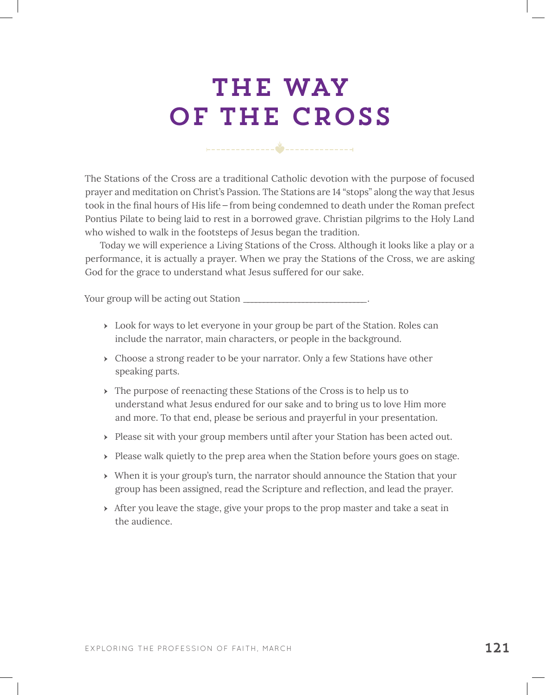# THE WAY OF THE CROSS

The Stations of the Cross are a traditional Catholic devotion with the purpose of focused prayer and meditation on Christ's Passion. The Stations are 14 "stops" along the way that Jesus took in the final hours of His life—from being condemned to death under the Roman prefect Pontius Pilate to being laid to rest in a borrowed grave. Christian pilgrims to the Holy Land who wished to walk in the footsteps of Jesus began the tradition.

Today we will experience a Living Stations of the Cross. Although it looks like a play or a performance, it is actually a prayer. When we pray the Stations of the Cross, we are asking God for the grace to understand what Jesus suffered for our sake.

Your group will be acting out Station \_\_\_\_\_\_\_\_\_\_\_\_\_\_\_\_\_\_\_\_\_\_\_\_\_\_\_\_\_\_\_.

- **EXECT:** Look for ways to let everyone in your group be part of the Station. Roles can include the narrator, main characters, or people in the background.
- ▶ Choose a strong reader to be your narrator. Only a few Stations have other speaking parts.
- $\rightarrow$  The purpose of reenacting these Stations of the Cross is to help us to understand what Jesus endured for our sake and to bring us to love Him more and more. To that end, please be serious and prayerful in your presentation.
- Please sit with your group members until after your Station has been acted out.
- > Please walk quietly to the prep area when the Station before yours goes on stage.
- ӹ When it is your group's turn, the narrator should announce the Station that your group has been assigned, read the Scripture and reflection, and lead the prayer.
- $\rightarrow$  After you leave the stage, give your props to the prop master and take a seat in the audience.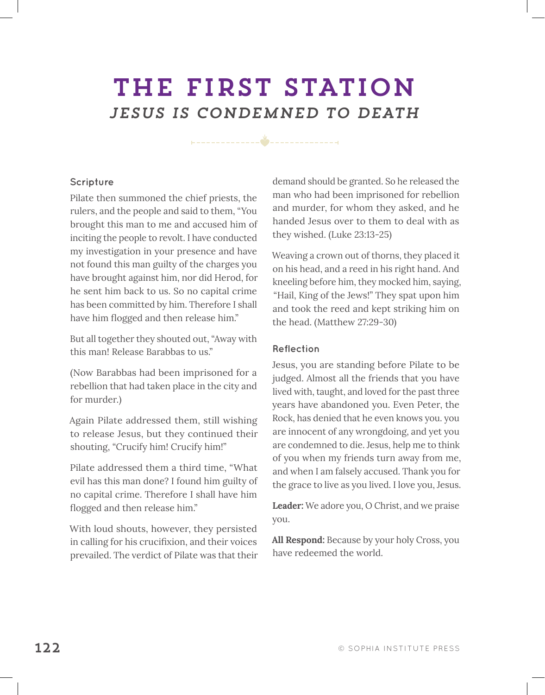### THE FIRST STATION *JESUS IS CONDEMNED TO DEATH*

### **Scripture**

Pilate then summoned the chief priests, the rulers, and the people and said to them, "You brought this man to me and accused him of inciting the people to revolt. I have conducted my investigation in your presence and have not found this man guilty of the charges you have brought against him, nor did Herod, for he sent him back to us. So no capital crime has been committed by him. Therefore I shall have him flogged and then release him."

But all together they shouted out, "Away with this man! Release Barabbas to us."

(Now Barabbas had been imprisoned for a rebellion that had taken place in the city and for murder.)

Again Pilate addressed them, still wishing to release Jesus, but they continued their shouting, "Crucify him! Crucify him!"

Pilate addressed them a third time, "What evil has this man done? I found him guilty of no capital crime. Therefore I shall have him flogged and then release him."

With loud shouts, however, they persisted in calling for his crucifixion, and their voices prevailed. The verdict of Pilate was that their demand should be granted. So he released the man who had been imprisoned for rebellion and murder, for whom they asked, and he handed Jesus over to them to deal with as they wished. (Luke 23:13-25)

Weaving a crown out of thorns, they placed it on his head, and a reed in his right hand. And kneeling before him, they mocked him, saying, "Hail, King of the Jews!" They spat upon him and took the reed and kept striking him on the head. (Matthew 27:29-30)

#### **Reflection**

Jesus, you are standing before Pilate to be judged. Almost all the friends that you have lived with, taught, and loved for the past three years have abandoned you. Even Peter, the Rock, has denied that he even knows you. you are innocent of any wrongdoing, and yet you are condemned to die. Jesus, help me to think of you when my friends turn away from me, and when I am falsely accused. Thank you for the grace to live as you lived. I love you, Jesus.

**Leader:** We adore you, O Christ, and we praise you.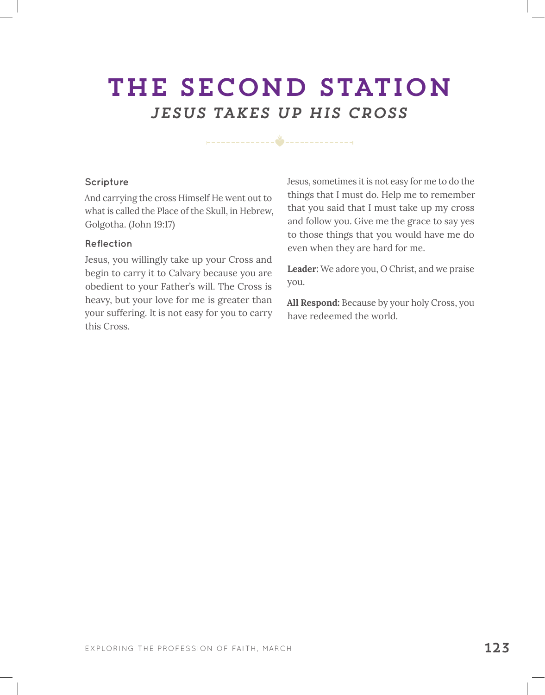### THE SECOND STATION *JESUS TAKES UP HIS CROSS*

#### **Scripture**

And carrying the cross Himself He went out to what is called the Place of the Skull, in Hebrew, Golgotha. (John 19:17)

#### **Reflection**

Jesus, you willingly take up your Cross and begin to carry it to Calvary because you are obedient to your Father's will. The Cross is heavy, but your love for me is greater than your suffering. It is not easy for you to carry this Cross.

Jesus, sometimes it is not easy for me to do the things that I must do. Help me to remember that you said that I must take up my cross and follow you. Give me the grace to say yes to those things that you would have me do even when they are hard for me.

**Leader:** We adore you, O Christ, and we praise you.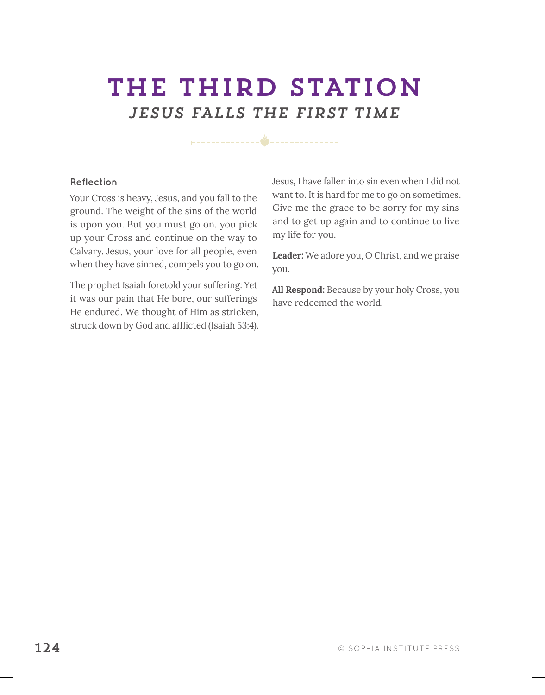## THE THIRD STATION *JESUS FALLS THE FIRST TIME*

**Reflection**

Your Cross is heavy, Jesus, and you fall to the ground. The weight of the sins of the world is upon you. But you must go on. you pick up your Cross and continue on the way to Calvary. Jesus, your love for all people, even when they have sinned, compels you to go on.

The prophet Isaiah foretold your suffering: Yet it was our pain that He bore, our sufferings He endured. We thought of Him as stricken, struck down by God and afflicted (Isaiah 53:4). Jesus, I have fallen into sin even when I did not want to. It is hard for me to go on sometimes. Give me the grace to be sorry for my sins and to get up again and to continue to live my life for you.

**Leader:** We adore you, O Christ, and we praise you.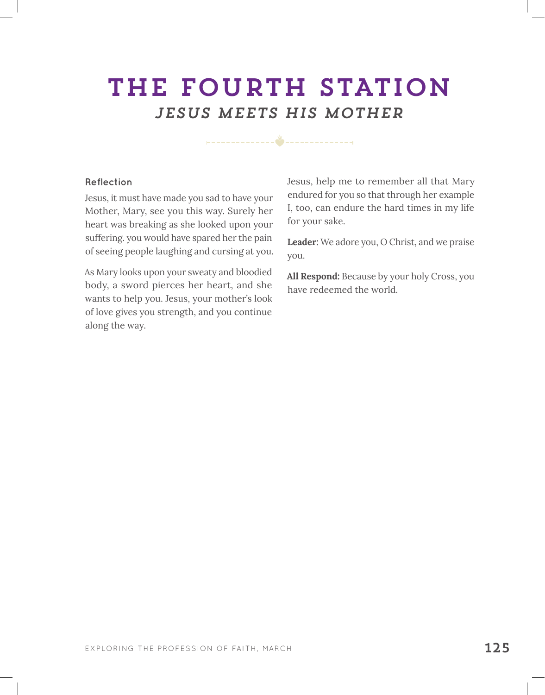### THE FOURTH STATION *JESUS MEETS HIS MOTHER*

#### **Reflection**

Jesus, it must have made you sad to have your Mother, Mary, see you this way. Surely her heart was breaking as she looked upon your suffering. you would have spared her the pain of seeing people laughing and cursing at you.

As Mary looks upon your sweaty and bloodied body, a sword pierces her heart, and she wants to help you. Jesus, your mother's look of love gives you strength, and you continue along the way.

Jesus, help me to remember all that Mary endured for you so that through her example I, too, can endure the hard times in my life for your sake.

**Leader:** We adore you, O Christ, and we praise you.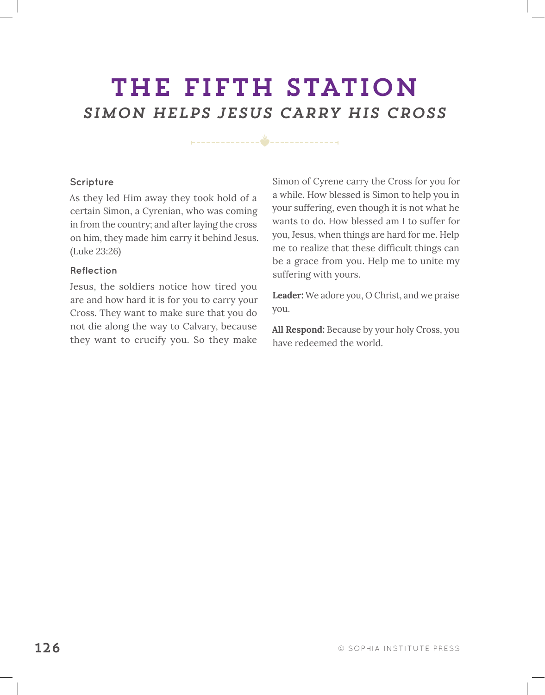### THE FIFTH STATION *SIMON HELPS JESUS CARRY HIS CROSS*

**Scripture**

As they led Him away they took hold of a certain Simon, a Cyrenian, who was coming in from the country; and after laying the cross on him, they made him carry it behind Jesus. (Luke 23:26)

#### **Reflection**

Jesus, the soldiers notice how tired you are and how hard it is for you to carry your Cross. They want to make sure that you do not die along the way to Calvary, because they want to crucify you. So they make

Simon of Cyrene carry the Cross for you for a while. How blessed is Simon to help you in your suffering, even though it is not what he wants to do. How blessed am I to suffer for you, Jesus, when things are hard for me. Help me to realize that these difficult things can be a grace from you. Help me to unite my suffering with yours.

**Leader:** We adore you, O Christ, and we praise you.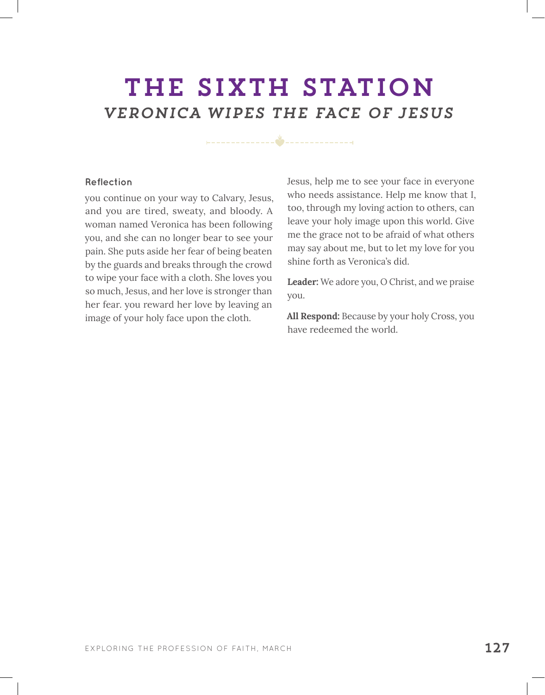### THE SIXTH STATION *VERONICA WIPES THE FACE OF JESUS*

#### **Reflection**

you continue on your way to Calvary, Jesus, and you are tired, sweaty, and bloody. A woman named Veronica has been following you, and she can no longer bear to see your pain. She puts aside her fear of being beaten by the guards and breaks through the crowd to wipe your face with a cloth. She loves you so much, Jesus, and her love is stronger than her fear. you reward her love by leaving an image of your holy face upon the cloth.

Jesus, help me to see your face in everyone who needs assistance. Help me know that I, too, through my loving action to others, can leave your holy image upon this world. Give me the grace not to be afraid of what others may say about me, but to let my love for you shine forth as Veronica's did.

**Leader:** We adore you, O Christ, and we praise you.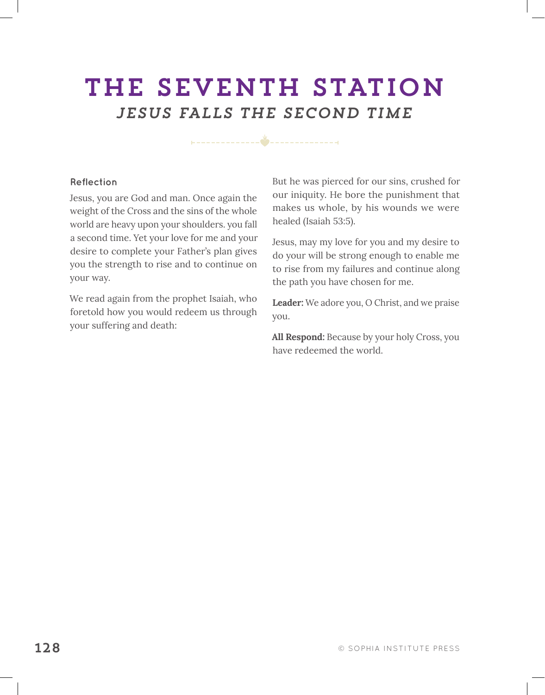## THE SEVENTH STATION *JESUS FALLS THE SECOND TIME*

#### **Reflection**

Jesus, you are God and man. Once again the weight of the Cross and the sins of the whole world are heavy upon your shoulders. you fall a second time. Yet your love for me and your desire to complete your Father's plan gives you the strength to rise and to continue on your way.

We read again from the prophet Isaiah, who foretold how you would redeem us through your suffering and death:

But he was pierced for our sins, crushed for our iniquity. He bore the punishment that makes us whole, by his wounds we were healed (Isaiah 53:5).

Jesus, may my love for you and my desire to do your will be strong enough to enable me to rise from my failures and continue along the path you have chosen for me.

**Leader:** We adore you, O Christ, and we praise you.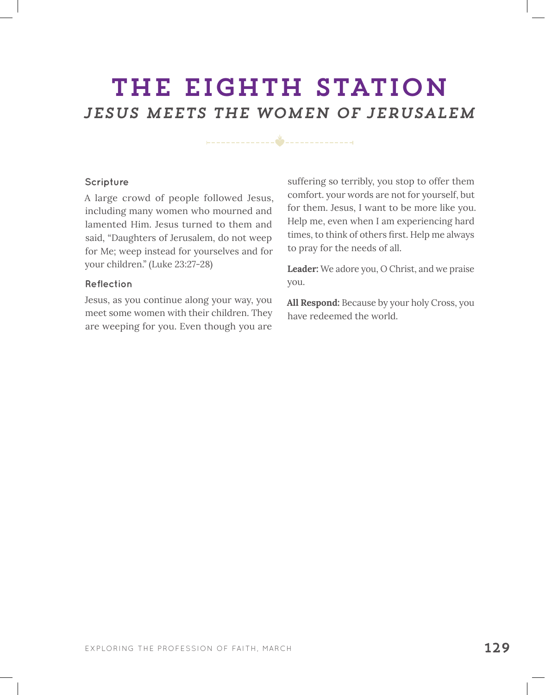### THE EIGHTH STATION *JESUS MEETS the WOMEN of Jerusalem*

#### **Scripture**

A large crowd of people followed Jesus, including many women who mourned and lamented Him. Jesus turned to them and said, "Daughters of Jerusalem, do not weep for Me; weep instead for yourselves and for your children." (Luke 23:27-28)

#### **Reflection**

Jesus, as you continue along your way, you meet some women with their children. They are weeping for you. Even though you are

suffering so terribly, you stop to offer them comfort. your words are not for yourself, but for them. Jesus, I want to be more like you. Help me, even when I am experiencing hard times, to think of others first. Help me always to pray for the needs of all.

**Leader:** We adore you, O Christ, and we praise you.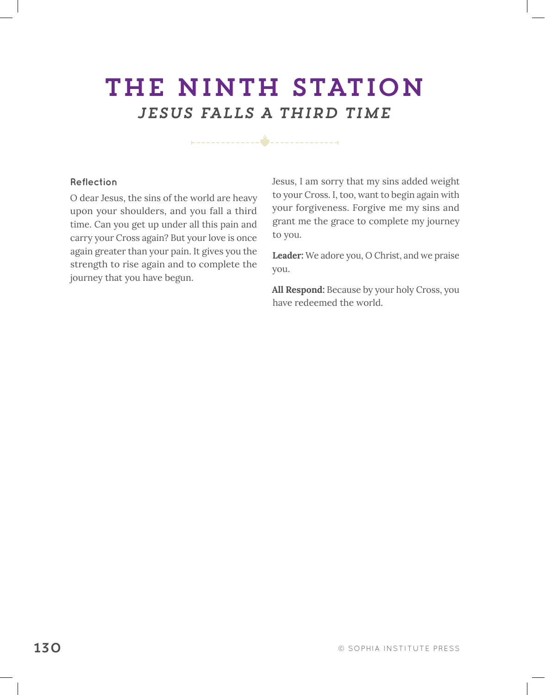## THE NINTH STATION *JESUS FALLS A THIRD TIME*

#### **Reflection**

O dear Jesus, the sins of the world are heavy upon your shoulders, and you fall a third time. Can you get up under all this pain and carry your Cross again? But your love is once again greater than your pain. It gives you the strength to rise again and to complete the journey that you have begun.

Jesus, I am sorry that my sins added weight to your Cross. I, too, want to begin again with your forgiveness. Forgive me my sins and grant me the grace to complete my journey to you.

**Leader:** We adore you, O Christ, and we praise you.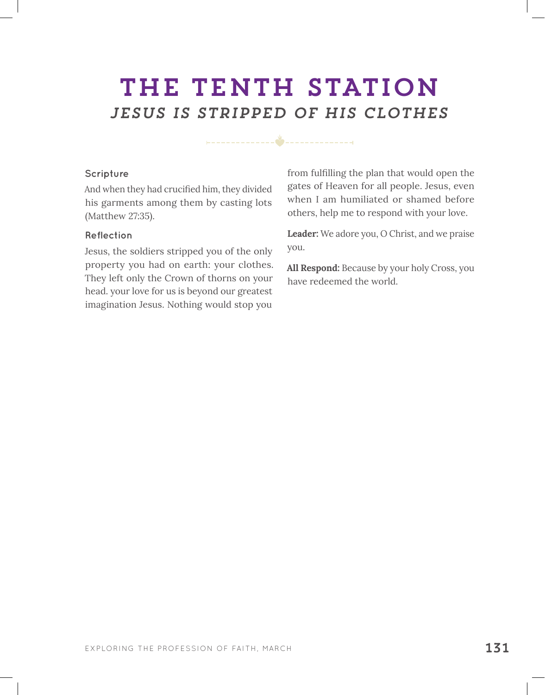### THE TENTH STATION *JESUS IS STRIPPED OF HIS CLOTHES*

#### **Scripture**

And when they had crucified him, they divided his garments among them by casting lots (Matthew 27:35).

#### **Reflection**

Jesus, the soldiers stripped you of the only property you had on earth: your clothes. They left only the Crown of thorns on your head. your love for us is beyond our greatest imagination Jesus. Nothing would stop you

from fulfilling the plan that would open the gates of Heaven for all people. Jesus, even when I am humiliated or shamed before others, help me to respond with your love.

**Leader:** We adore you, O Christ, and we praise you.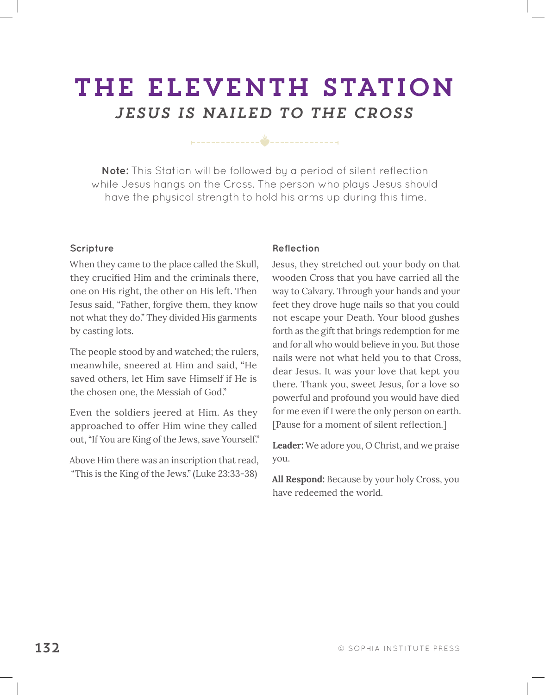### THE ELEVENTH STATION *JESUS IS NAILED TO THE CROSS*

**Note:** This Station will be followed by a period of silent reflection while Jesus hangs on the Cross. The person who plays Jesus should have the physical strength to hold his arms up during this time.

#### **Scripture**

When they came to the place called the Skull, they crucified Him and the criminals there, one on His right, the other on His left. Then Jesus said, "Father, forgive them, they know not what they do." They divided His garments by casting lots.

The people stood by and watched; the rulers, meanwhile, sneered at Him and said, "He saved others, let Him save Himself if He is the chosen one, the Messiah of God."

Even the soldiers jeered at Him. As they approached to offer Him wine they called out, "If You are King of the Jews, save Yourself."

Above Him there was an inscription that read, "This is the King of the Jews." (Luke 23:33-38)

#### **Reflection**

Jesus, they stretched out your body on that wooden Cross that you have carried all the way to Calvary. Through your hands and your feet they drove huge nails so that you could not escape your Death. Your blood gushes forth as the gift that brings redemption for me and for all who would believe in you. But those nails were not what held you to that Cross, dear Jesus. It was your love that kept you there. Thank you, sweet Jesus, for a love so powerful and profound you would have died for me even if I were the only person on earth. [Pause for a moment of silent reflection*.*]

**Leader:** We adore you, O Christ, and we praise you.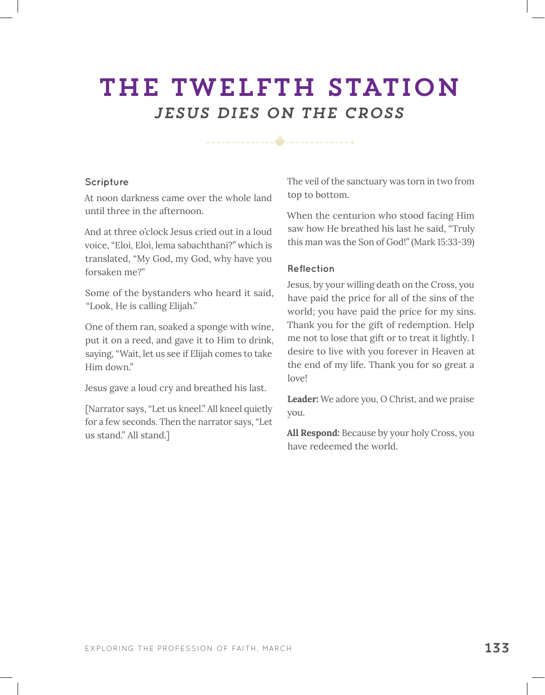### THE TWELFTH STATION *JESUS DIES ON THE CROSS*

#### **Scripture**

At noon darkness came over the whole land until three in the afternoon.

And at three o'clock Jesus cried out in a loud voice, "Eloi, Eloi, lema sabachthani?" which is translated, "My God, my God, why have you forsaken me?"

Some of the bystanders who heard it said, "Look, He is calling Elijah."

One of them ran, soaked a sponge with wine, put it on a reed, and gave it to Him to drink, saying, "Wait, let us see if Elijah comes to take Him down."

Jesus gave a loud cry and breathed his last.

[Narrator says, "Let us kneel." All kneel quietly for a few seconds. Then the narrator says, "Let us stand." All stand.]

The veil of the sanctuary was torn in two from top to bottom.

When the centurion who stood facing Him saw how He breathed his last he said, "Truly this man was the Son of God!" (Mark 15:33-39)

#### **Reflection**

Jesus, by your willing death on the Cross, you have paid the price for all of the sins of the world; you have paid the price for my sins. Thank you for the gift of redemption. Help me not to lose that gift or to treat it lightly. I desire to live with you forever in Heaven at the end of my life. Thank you for so great a love!

**Leader:** We adore you, O Christ, and we praise you.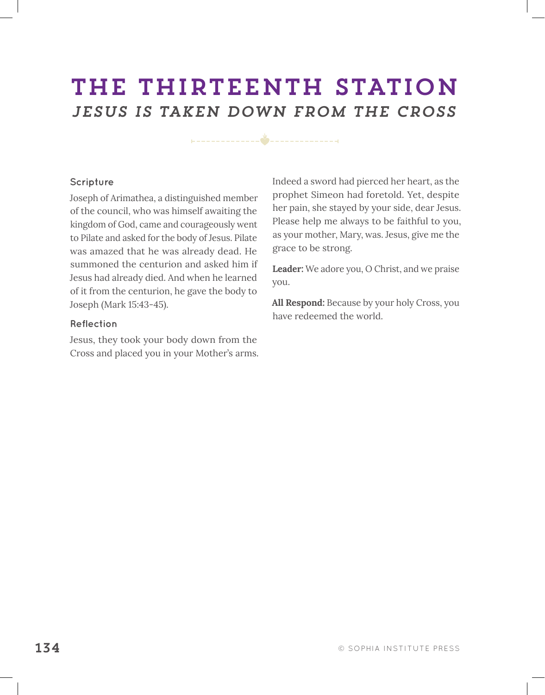### THE THIRTEENTH STATION *JESUS IS TAKEN DOWN FROM THE CROSS*

 $\frac{v}{c}$ 

#### **Scripture**

Joseph of Arimathea, a distinguished member of the council, who was himself awaiting the kingdom of God, came and courageously went to Pilate and asked for the body of Jesus. Pilate was amazed that he was already dead. He summoned the centurion and asked him if Jesus had already died. And when he learned of it from the centurion, he gave the body to Joseph (Mark 15:43-45).

#### **Reflection**

Jesus, they took your body down from the Cross and placed you in your Mother's arms. Indeed a sword had pierced her heart, as the prophet Simeon had foretold. Yet, despite her pain, she stayed by your side, dear Jesus. Please help me always to be faithful to you, as your mother, Mary, was. Jesus, give me the grace to be strong.

**Leader:** We adore you, O Christ, and we praise you.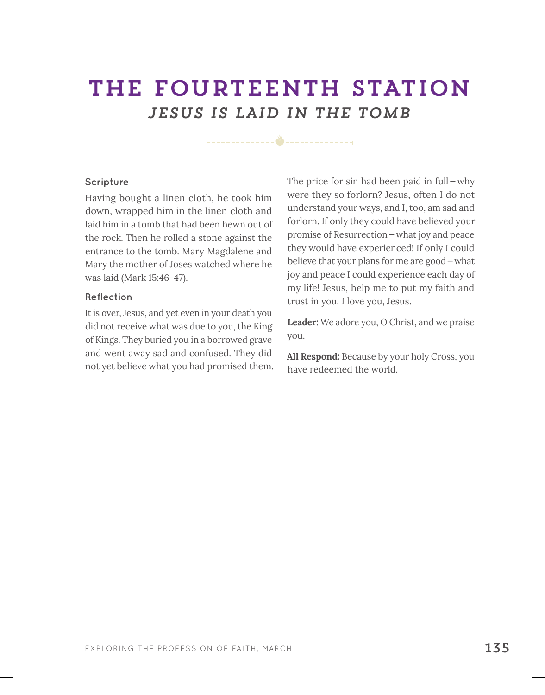### THE FOURTEENTH STATION *JESUS IS LAID IN THE TOMB*

#### **Scripture**

Having bought a linen cloth, he took him down, wrapped him in the linen cloth and laid him in a tomb that had been hewn out of the rock. Then he rolled a stone against the entrance to the tomb. Mary Magdalene and Mary the mother of Joses watched where he was laid (Mark 15:46-47).

#### **Reflection**

It is over, Jesus, and yet even in your death you did not receive what was due to you, the King of Kings. They buried you in a borrowed grave and went away sad and confused. They did not yet believe what you had promised them. The price for sin had been paid in full—why were they so forlorn? Jesus, often I do not understand your ways, and I, too, am sad and forlorn. If only they could have believed your promise of Resurrection—what joy and peace they would have experienced! If only I could believe that your plans for me are good—what joy and peace I could experience each day of my life! Jesus, help me to put my faith and trust in you. I love you, Jesus.

**Leader:** We adore you, O Christ, and we praise you.